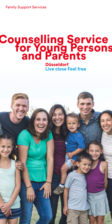Family Support Services

# Counselling Service for Young Persons and Parents Düsseldorf

Live close Feel free

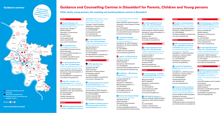# Guidance and Counselling Centres in Düsseldorf for Parents, Children and Young persons

## Child, family, young persons, life coaching and marital guidance centres in Düsseldorf

#### **District**

**1 Caritas Erziehungs- und** Familienberatungsstelle Caritas Child and Family Guidance Centre Friedrich-Ebert-Straße 31 40210 Düsseldorf Operated by: Caritasverband Düsseldorf e. V. Tel.: 0211 1712940 erziehungsberatung@ caritas-duesseldorf.de www.caritas-duesseldorf.de

#### 2 Die Jugendberatung.

Youth Welfare and Guidance Ulmenstraße 75 (orange entrance) 40476 Düsseldorf Operated by: SKFM Düsseldorf e. V. Tel.: 0211 4696200 kontakt@die-jugendberatung.de www.die-jugendberatung.de

3 Ev. Beratungsstelle für Erziehungs-, Ehe- und Lebensfragen Lutheran Counselling Service for Life Coaching, Marital and Family issues Berger Straße 18 a 40213 Düsseldorf Operated by: Diakonie Düsseldorf e. V. Tel.: 0211 866040 eb.altstadt@diakonie-duesseldorf.de www.diakonie-duesseldorf.de

4 Kath. Ehe -, Familien- und Lebensberatung Cath. Counselling Service for Life Coaching, Marital and Family Issues

8 Fachberatungsstelle für Familien mit Gewalterfahrung Specialist Guidance and Counselling Centre for

Am Wehrhahn 28, 40211 Düsseldorf Operated by: Kath. Gemeindeverband der Stadt Düsseldorf Tel.: 0211 1793370 info@efl-duesseldorf.de www.efl-duesseldorf.de

#### **District**

9 Fachstelle zur Stärkung der psychischen Gesundheit bei Kindern und Jugendlichen Specialist centre

5 AWO Beratungsstelle Derendorf für Kinder, Jugendliche, Erwachsene

#### und Familien AWO Guidance Centre Derendorf for Children, Young Persons, Adults and Families Liststraße 2, 40470 Düsseldorf Operated by: Arbeiterwohlfahrt Familienglobus gGmbH Tel.: 0211 60025189 erziehungsberatung.list@ awo-duesseldorf.de www.awo-duesseldorf.de

düsseldorf e. V. counselling service for women düsseldorf e. V. Talstraße 22–24, 40217 Düsseldorf Operated by: frauenberatungsstelledüsseldorf e. V. Tel.: 0211 686854 info@frauenberatungsstelle.de www.frauenberatungsstelle.de

#### 11 Jugend- und Elternberatung

6 Ev. Beratungsstelle für Erziehungs-, Ehe- und Lebensfragen Lutheran Counselling Service for Life Coaching, Marital and Family Issues Platz der Diakonie 2 a 40233 Düsseldorf Operated by: Diakonie Düsseldorf e. V. Tel.: 0211 91318840 eb.flingern@diakonie-duesseldorf.de www.diakonie-duesseldorf.de

#### District 3

# **2** AWO Jugendberatung

AWO Youth Counselling Oberbilker Allee 287 40227 Düsseldorf Operated by: Arbeiterwohlfahrt Familienglobus gGmbH Tel.: 0211 60025222 jugendberatung@awo-duesseldorf.de www.jub.awo-duesseldorf.de

Domestic Violence Sonnenstraße 14, 40227 Düsseldorf Operated by: Diakonie Düsseldorf e. V. Tel.: 0211 913543600 fachberatungsstelle-ffg@ diakonie-duesseldorf.de www.diakonie-duesseldorf.de

#### for mental health support of children and young people

Kölner Straße 180, 40227 Düsseldorf Operated by: Stadt Düsseldorf, funded by the LVR Tel.: 0211 8925529 kjpdi-gesundheitsamt@duesseldorf.de www.duesseldorf.de/gesundheitsamt/ psychische-erkrankungen

### 10 frauenberatungsstelle

Young Persons and Parents Advice Willi-Becker-Allee 10 40227 Düsseldorf Operated by: Stadt Düsseldorf Tel.: 0211 8995361 jugend.elternberatung@duesseldorf.de www.duesseldorf.de/jugendamt/jeb

#### 12 ProMädchen – Mädchenhaus Düsseldorf e. V.

ProGirl – Girls' Refuge (reg. society) Corneliusstraße 68–70 40215 Düsseldorf Operated by: ProMädchen – Mädchenhaus Düsseldorf e. V. Tel.: 0211 487675 info@promaedchen.de beratung@promaedchen.de www.promaedchen.de

#### 13 Zentrum fuer Schulpsychologie

Centre for School Psychology Willi-Becker-Allee 10 40227 Düsseldorf Operated by: Stadt Düsseldorf Tel.: 0211 8995340 schulpsychologie@duesseldorf.de www.duesseldorf.de/schulpsychologie



#### 14 Ev. Beratungsstelle für Erziehungs-, Ehe- und Lebensfragen Lutheran Counselling Service for Life Coaching, Marital and Family issues Fliednerstraße 40, 40489 Düsseldorf Operated by: Diakonie Düsseldorf e. V. Tel.: 0211 41608920 eb.kaiserswerth @diakonie-duesseldorf.de www.diakonie-duesseldorf.de

#### District 5

15 Ev. Beratungsstelle für Erziehungs-, Ehe- und Lebensfragen Lutheran Counselling Service for Life Coaching, Marital and Family Issues Arnheimer Straße 31 40489 Düsseldorf Operated by: Diakonie Düsseldorf e. V. Tel.: 0211 41608920 eb.kaiserswerth@ diakonie-duesseldorf.de www.diakonie-duesseldorf.de

#### District 6

16 Caritas Erziehungs- und Familienberatungsstelle Rath Caritas Child and Family Guidance Centre Rath Rather Kreuzweg 43 40472 Düsseldorf Operated by: Caritasverband Düsseldorf e. V. Tel.: 0211 51629778 erziehungsberatung.rath@

caritas-duesseldorf.de www.caritas-duesseldorf.de

#### 17 KiND VAMV Düsseldorf e. V.

Kalkumer Straße 85, 40468 Düsseldorf Operated by: KIND VAMV Düsseldorf e. V. Tel.: 0211 4184440 info@vamv-duesseldorf.de www.kind-vamv-duesseldorf.de

#### District **7**

18 Familien- und Erziehungsberatungsstelle Guidance and Counselling Centre for Families and Children Heyestraße 194 a, 40625 Düsseldorf Operated by: SKFM Düsseldorf e. V. Tel.: 0211 2408800

familienberatung@skfm-duesseldorf.de www.skfm-duesseldorf.de

#### **District**

19 AWO Beratungsstelle Eller für Kinder, Jugendliche, Erwachsene und Familien AWO Guidance and Counselling Centre Eller for Children, Young Persons and Families

Schloßallee 12 c, 40229 Düsseldorf Operated by: Arbeiterwohlfahrt Familienglobus gGmbH Tel.: 0211 60025363 eb.eller@awo-duesseldorf.de www.awo-duesseldorf.de

#### 20 Fachstelle für Regenbogenfamilien Specialist Centre for Rainbow Families

Schloßallee 12 c, 40229 Düsseldorf Operated by: Arbeiterwohlfahrt Familienglobus gGmbH Tel.: 0211 60025363 regenbogenfamilien@ awo-duesseldorf.de www.awo-duesseldorf.de

#### 21 Deutscher Kinderschutzbund – Haus für Kinder BLAUER ELEFANT German Child Protection Agency –

Children's House BLUE ELEPHANT Posener Straße 60, 40231 Düsseldorf

Operated by: Deutscher Kinderschutzbund OV Düsseldorf e. V. Tel.: 0211 6170570 info@kinderschutzbund-duesseldorf.de www.kinderschutzbund-duesseldorf.de

#### District 9

22 Caritas Erziehungs- und Familienberatungsstelle Wersten Caritas Guidance and Counselling Centre for Children and Family Wersten

Kölner Landstraße 264 40589 Düsseldorf Operated by: Caritasverband Düsseldorf e. V. Tel.: 0211 9764050 erziehungsberatung.wersten@ caritas-duesseldorf.de www.caritas-duesseldorf.de

#### 23 Ev. Beratungsstelle für Erziehungs-, Ehe- und Lebensfragen Lutheran Counselling Service for Life

Coaching, Marital and Family issues Paulistraße 7, 40597 Düsseldorf Operated by: Diakonie Düsseldorf e. V. Tel.: 0211 715057 eb.benrath@diakonie-duesseldorf.de www.diakonie-duesseldorf.de

#### District 10

24 AWO Beratungsstelle Garath für Kinder, Jugendliche, Erwachsene und Familien AWO Guidance and Counselling Centre Garath for Children, Young Persons, Adults and Families at the AWO Guidance and Counselling Centre Garath Frankfurter Straße 225 40595 Düsseldorf Operated by: Familienglobus gGmbH Tel.: 0211 60025235 eb.garath@awo-duesseldorf.de www.awo-duesseldorf.de



# Districts 1 to 10

www.duesseldorf.de/djeb

## Guidance centres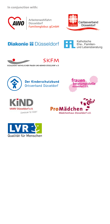In conjunction with:



Arbeiterwohlfahrt Arbeiterwormann<br>Düsseldorf<br><mark>Familienglobus gGmbH</mark>



# **Diakonie <sup>22</sup>** Düsseldorf



Katholische Ehe-, Familienund Lebensberatung





SOZIALDIENST KATHOLISCHER FRAUEN UND MÄNNER DÜSSELDORF e.V.



Der Kinderschutzbund Ortsverband Düsseldorf







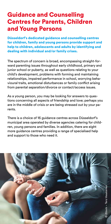# Guidance and Counselling Centres for Parents, Children and Young Persons

Düsseldorf's dedicated guidance and counselling centres for children, family and young persons provide support and help to children, adolescents and adults by identifying and dealing with individual and/or family crises.

The spectrum of concern is broad, encompassing straight-forward parenting issues throughout early childhood, primary and junior school or puberty, as well as questions relating to your child's development, problems with forming and maintaining relationships, impaired performance in school, worrying behavioural traits, emotional disturbances or family conflict arising from parental separation/divorce or contact/access issues.

As a young person, you may be looking for answers to questions concerning all aspects of friendship and love; perhaps you are in the middle of crisis or are being stressed out by your parents.

There is a choice of 16 guidance centres across Düsseldorf's municipal area operated by diverse agencies catering for children, young persons and families. In addition, there are eight more guidance centres providing a range of specialised help and support to those who need it.